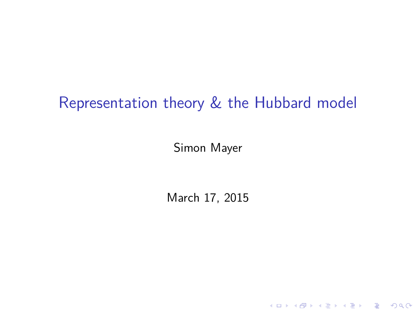# Representation theory & the Hubbard model

Simon Mayer

March 17, 2015

K ロ ▶ K @ ▶ K 할 ▶ K 할 ▶ | 할 | ⊙Q @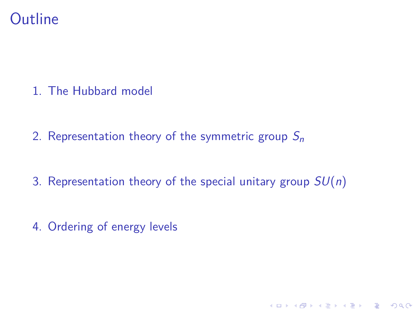

1. [The Hubbard model](#page-2-0)

2. [Representation theory of the symmetric group](#page-4-0)  $S_n$ 

3. [Representation theory of the special unitary group](#page-10-0)  $SU(n)$ 

K ロ ▶ K 個 ▶ K 할 ▶ K 할 ▶ 이 할 → 9 Q Q →

4. [Ordering of energy levels](#page-17-0)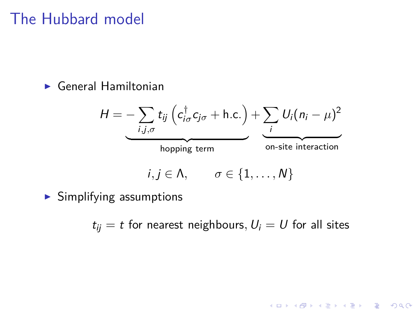# <span id="page-2-0"></span>The Hubbard model

 $\blacktriangleright$  General Hamiltonian

$$
H = -\sum_{i,j,\sigma} t_{ij} \left( c_{i\sigma}^{\dagger} c_{j\sigma} + \text{h.c.} \right) + \sum_{i} U_i (n_i - \mu)^2
$$
\n
$$
\overbrace{\text{hopping term}}^{i,j,\sigma} \underbrace{\sigma \in \{1,\ldots,N\}}_{\text{on-site interaction}}
$$

 $\blacktriangleright$  Simplifying assumptions

$$
t_{ij} = t
$$
 for nearest neighbours,  $U_i = U$  for all sites

**Kロトメ部トメミトメミト ミニのQC**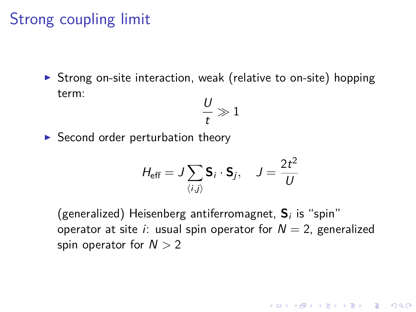### Strong coupling limit

 $\triangleright$  Strong on-site interaction, weak (relative to on-site) hopping term:

$$
\frac{U}{t}\gg 1
$$

 $\triangleright$  Second order perturbation theory

$$
H_{\text{eff}} = J \sum_{\langle i,j \rangle} \mathbf{S}_i \cdot \mathbf{S}_j, \quad J = \frac{2t^2}{U}
$$

(generalized) Heisenberg antiferromagnet, **S**<sup>i</sup> is "spin" operator at site *i*: usual spin operator for  $N = 2$ , generalized spin operator for N *>* 2

4 0 > 4 4 + 4 = + 4 = + = + + 0 4 0 +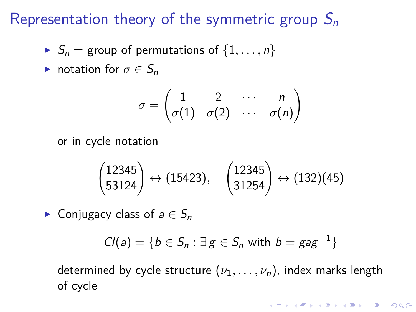- <span id="page-4-0"></span> $S_n =$  group of permutations of  $\{1, \ldots, n\}$
- **Induction for**  $\sigma \in S_n$

$$
\sigma = \begin{pmatrix} 1 & 2 & \cdots & n \\ \sigma(1) & \sigma(2) & \cdots & \sigma(n) \end{pmatrix}
$$

or in cycle notation

$$
\begin{pmatrix}12345\\53124\end{pmatrix}\leftrightarrow (15423), \quad \begin{pmatrix}12345\\31254\end{pmatrix}\leftrightarrow (132)(45)
$$

► Conjugacy class of  $a \in S_n$ 

$$
Cl(a) = \{b \in S_n : \exists g \in S_n \text{ with } b = gag^{-1}\}\
$$

determined by cycle structure  $(\nu_1, \ldots, \nu_n)$ , index marks length of cycle

4 0 > 4 4 + 4 = + 4 = + = + + 0 4 0 +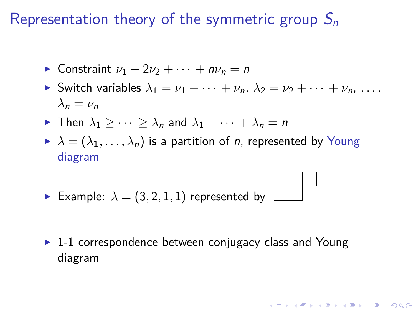- **Constraint**  $\nu_1 + 2\nu_2 + \cdots + n\nu_n = n$
- Switch variables  $\lambda_1 = \nu_1 + \cdots + \nu_n$ ,  $\lambda_2 = \nu_2 + \cdots + \nu_n$ , ...  $λ<sub>n</sub> = ν<sub>n</sub>$
- **F** Then  $\lambda_1$   $> \cdots$   $> \lambda_n$  and  $\lambda_1$  +  $\cdots$  +  $\lambda_n$  = n
- $\lambda = (\lambda_1, \ldots, \lambda_n)$  is a partition of *n*, represented by Young diagram
- Example:  $\lambda = (3, 2, 1, 1)$  represented by



**KORKARYKERKER POLO** 

 $\blacktriangleright$  1-1 correspondence between conjugacy class and Young diagram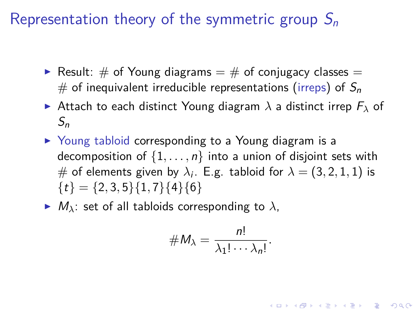- Result:  $\#$  of Young diagrams  $=$   $\#$  of conjugacy classes  $=$ # of inequivalent irreducible representations (irreps) of  $S_n$
- **I** Attach to each distinct Young diagram  $\lambda$  a distinct irrep  $F_{\lambda}$  of  $S_n$
- ▶ Young tabloid corresponding to a Young diagram is a decomposition of  $\{1, \ldots, n\}$  into a union of disjoint sets with  $\#$  of elements given by  $\lambda_i$ . E.g. tabloid for  $\lambda=(3,2,1,1)$  is  ${t} = {2, 3, 5}{1, 7}{4}{6}$
- $\blacktriangleright$   $M_{\lambda}$ : set of all tabloids corresponding to  $\lambda$ ,

$$
\#M_{\lambda}=\frac{n!}{\lambda_1!\cdots\lambda_n!}.
$$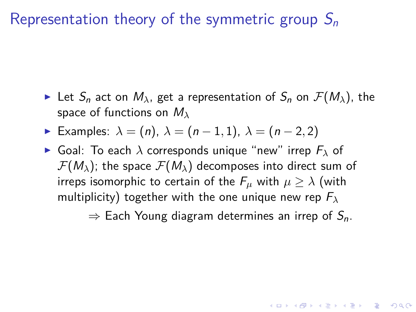- Exect Let  $S_n$  act on  $M_\lambda$ , get a representation of  $S_n$  on  $\mathcal{F}(M_\lambda)$ , the space of functions on M*<sup>λ</sup>*
- $\triangleright$  Examples:  $\lambda = (n)$ ,  $\lambda = (n-1, 1)$ ,  $\lambda = (n-2, 2)$
- $\triangleright$  Goal: To each  $\lambda$  corresponds unique "new" irrep  $F_{\lambda}$  of  $\mathcal{F}(M_{\lambda})$ ; the space  $\mathcal{F}(M_{\lambda})$  decomposes into direct sum of irreps isomorphic to certain of the  $F_\mu$  with  $\mu \geq \lambda$  (with multiplicity) together with the one unique new rep F*<sup>λ</sup>*

 $\Rightarrow$  Each Young diagram determines an irrep of  $S_n$ .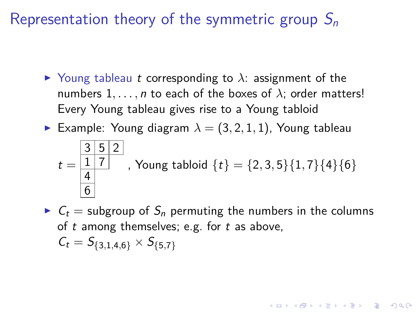- $\triangleright$  Young tableau t corresponding to  $\lambda$ : assignment of the numbers  $1, \ldots, n$  to each of the boxes of  $\lambda$ ; order matters! Every Young tableau gives rise to a Young tabloid
- **Example:** Young diagram  $\lambda = (3, 2, 1, 1)$ , Young tableau

$$
t = \frac{3 \ 5 \ 2}{4}
$$
, Young tabloid {t} = {2, 3, 5}{1, 7}{4}{6}

 $C_t$  = subgroup of  $S_n$  permuting the numbers in the columns of  $t$  among themselves; e.g. for  $t$  as above,  $C_t = S_{\{3,1,4,6\}} \times S_{\{5,7\}}$ 

YO A 4 4 4 4 5 A 4 5 A 4 D + 4 D + 4 D + 4 D + 4 D + 4 D + + E + + D + + E + + O + O + + + + + + + +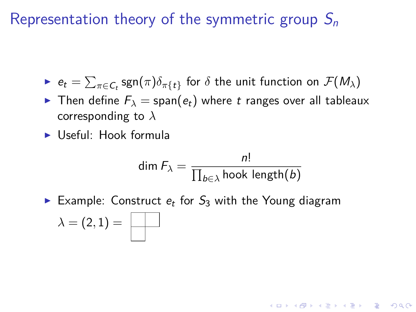- $\blacktriangleright$   $e_t = \sum_{\pi \in \mathcal{C}_t} \text{sgn}(\pi) \delta_{\pi\{t\}}$  for  $\delta$  the unit function on  $\mathcal{F}(M_{\lambda})$
- **Fi** Then define  $F_{\lambda} = \text{span}(e_t)$  where t ranges over all tableaux corresponding to *λ*
- $\blacktriangleright$  Useful: Hook formula

$$
\dim F_{\lambda} = \frac{n!}{\prod_{b \in \lambda} \text{hook length}(b)}
$$

KELK KØLK VELKEN EL 1990

Example: Construct  $e_t$  for  $S_3$  with the Young diagram

$$
\lambda=(2,1)=
$$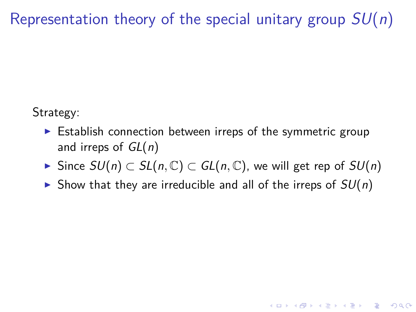<span id="page-10-0"></span>Strategy:

- $\triangleright$  Establish connection between irreps of the symmetric group and irreps of  $GL(n)$
- <sup>I</sup> Since SU(n) ⊂ SL(n*,* C) ⊂ GL(n*,* C), we will get rep of SU(n)

**KORKARYKERKER POLO** 

In Show that they are irreducible and all of the irreps of  $SU(n)$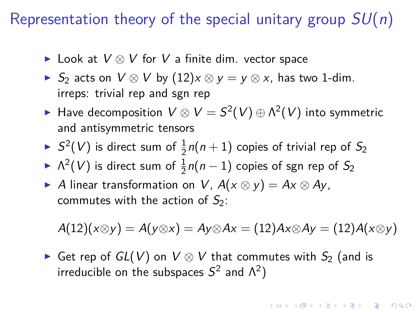- ► Look at  $V \otimes V$  for  $V$  a finite dim. vector space
- ► S<sub>2</sub> acts on  $V \otimes V$  by  $(12)x \otimes y = y \otimes x$ , has two 1-dim. irreps: trivial rep and sgn rep
- ► Have decomposition  $V \otimes V = S^2(V) \oplus \Lambda^2(V)$  into symmetric and antisymmetric tensors
- $\blacktriangleright$   $S^2(V)$  is direct sum of  $\frac{1}{2}n(n+1)$  copies of trivial rep of  $S_2$
- ►  $\Lambda^2(V)$  is direct sum of  $\frac{1}{2}n(n-1)$  copies of sgn rep of  $S_2$
- ► A linear transformation on V,  $A(x \otimes y) = Ax \otimes Ay$ , commutes with the action of  $S_2$ :

$$
A(12)(x\otimes y) = A(y\otimes x) = Ay\otimes Ax = (12)Ax\otimes Ay = (12)A(x\otimes y)
$$

**KORKAR KERKER SAGA** 

► Get rep of  $GL(V)$  on  $V \otimes V$  that commutes with  $S_2$  (and is irreducible on the subspaces  $S^2$  and  $\Lambda^2$ )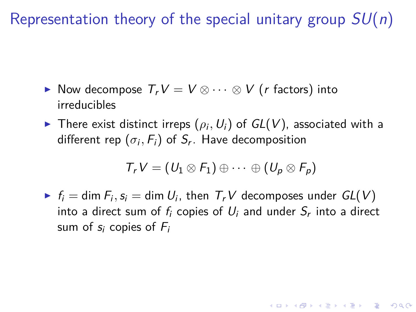- ► Now decompose  $T_rV = V \otimes \cdots \otimes V$  (r factors) into irreducibles
- $\blacktriangleright$  There exist distinct irreps  $(\rho_i, U_i)$  of  $GL(V)$ , associated with a different rep  $(\sigma_i,F_i)$  of  $S_r$ . Have decomposition

$$
T_rV=(U_1\otimes F_1)\oplus\cdots\oplus (U_p\otimes F_p)
$$

 $\blacktriangleright$   $f_i = \dim F_i$ ,  $s_i = \dim U_i$ , then  $T_rV$  decomposes under  $GL(V)$ into a direct sum of  $f_i$  copies of  $U_i$  and under  $\mathcal{S}_r$  into a direct sum of  $s_i$  copies of  $F_i$ 

KELK KØLK VELKEN EL 1990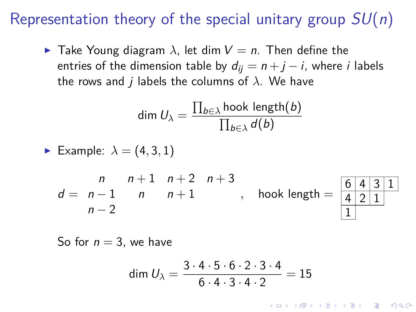**F** Take Young diagram  $\lambda$ , let dim  $V = n$ . Then define the entries of the dimension table by  $d_{ii} = n + j - i$ , where i labels the rows and *j* labels the columns of  $\lambda$ . We have

$$
\dim U_{\lambda} = \frac{\prod_{b \in \lambda} \text{hook length}(b)}{\prod_{b \in \lambda} d(b)}
$$

Example:  $\lambda = (4, 3, 1)$ 

$$
d = \begin{array}{cccc} n & n+1 & n+2 & n+3 \\ n-1 & n & n+1 & n \end{array}
$$
, hook length =  $\begin{array}{|c|c|c|} \hline 6 & a & b \\ \hline 4 & a & b & 1 \\ \hline 1 & 1 & 1 & 1 \end{array}$ 

$$
\begin{array}{c|c|c|c}\n6 & 4 & 3 & 1 \\
4 & 2 & 1 & \\
\hline\n1 & & & \\
\end{array}
$$

**KORKAR KERKER SAGA** 

So for  $n = 3$ , we have

dim 
$$
U_{\lambda} = \frac{3 \cdot 4 \cdot 5 \cdot 6 \cdot 2 \cdot 3 \cdot 4}{6 \cdot 4 \cdot 3 \cdot 4 \cdot 2} = 15
$$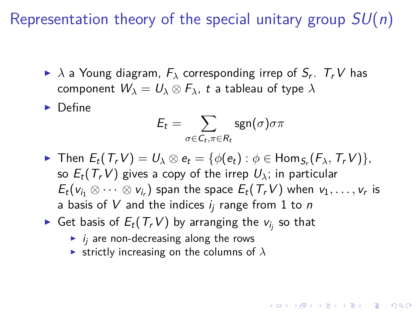- $\blacktriangleright$   $\lambda$  a Young diagram,  $F_{\lambda}$  corresponding irrep of  $S_r$ .  $T_rV$  has component  $W_{\lambda} = U_{\lambda} \otimes F_{\lambda}$ , t a tableau of type  $\lambda$
- $\blacktriangleright$  Define

$$
E_t = \sum_{\sigma \in C_t, \pi \in R_t} \operatorname{sgn}(\sigma) \sigma \pi
$$

 $\blacktriangleright$  Then  $E_t(T_rV) = U_\lambda ⊗ e_t = \{ \phi(e_t) : \phi \in \text{Hom}_{S_r}(F_\lambda, T_rV) \},$ so  $E_t(T_t V)$  gives a copy of the irrep  $U_\lambda$ ; in particular  $E_t(v_{i_1}\otimes\cdots\otimes v_{i_r})$  span the space  $E_t(\mathcal{T}_r V)$  when  $v_1,\ldots,v_r$  is a basis of V and the indices  $i_i$  range from 1 to n

- $\blacktriangleright$  Get basis of  $E_t(T_rV)$  by arranging the  $v_{i_j}$  so that
	- $\blacktriangleright$  *i<sub>i</sub>* are non-decreasing along the rows
	- **Exercitly increasing on the columns of**  $\lambda$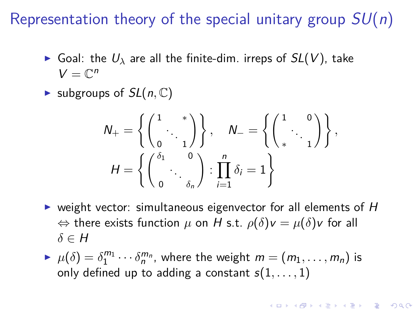- $\triangleright$  Goal: the  $U_\lambda$  are all the finite-dim. irreps of  $SL(V)$ , take  $V=\mathbb{C}^n$
- $\blacktriangleright$  subgroups of  $SL(n, \mathbb{C})$

$$
N_{+} = \left\{ \begin{pmatrix} 1 & * \\ & \ddots & \\ 0 & 1 \end{pmatrix} \right\}, \quad N_{-} = \left\{ \begin{pmatrix} 1 & 0 \\ & \ddots & \\ * & 1 \end{pmatrix} \right\},
$$

$$
H = \left\{ \begin{pmatrix} \delta_{1} & 0 \\ & \ddots & \\ 0 & \delta_{n} \end{pmatrix} : \prod_{i=1}^{n} \delta_{i} = 1 \right\}
$$

- $\triangleright$  weight vector: simultaneous eigenvector for all elements of H  $\Leftrightarrow$  there exists function  $\mu$  on H s.t.  $\rho(\delta)v = \mu(\delta)v$  for all *δ* ∈ H
- $P \mu(\delta) = \delta_1^{m_1} \cdots \delta_n^{m_n}$ , where the weight  $m = (m_1, \ldots, m_n)$  is only defined up to adding a constant s(1*, . . . ,* 1)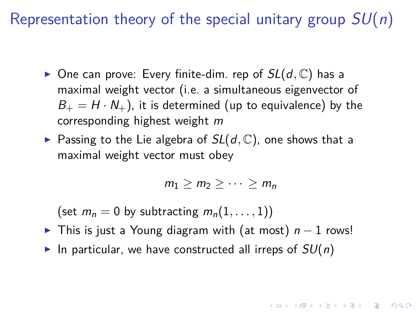- $\triangleright$  One can prove: Every finite-dim. rep of  $SL(d, \mathbb{C})$  has a maximal weight vector (i.e. a simultaneous eigenvector of  $B_+ = H \cdot N_+$ , it is determined (up to equivalence) by the corresponding highest weight m
- Passing to the Lie algebra of  $SL(d, \mathbb{C})$ , one shows that a maximal weight vector must obey

$$
m_1\geq m_2\geq \cdots \geq m_n
$$

KID KA KERKER E VOOR

(set  $m_n = 0$  by subtracting  $m_n(1, \ldots, 1)$ )

- ► This is just a Young diagram with (at most)  $n 1$  rows!
- In particular, we have constructed all irreps of  $SU(n)$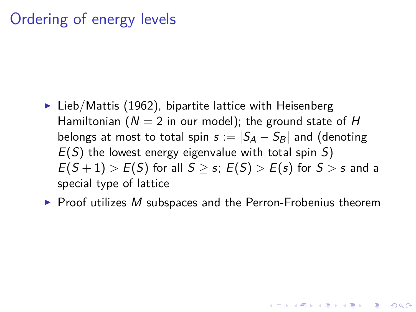# <span id="page-17-0"></span>Ordering of energy levels

- $\blacktriangleright$  Lieb/Mattis (1962), bipartite lattice with Heisenberg Hamiltonian ( $N = 2$  in our model); the ground state of H belongs at most to total spin  $s := |S_A - S_B|$  and (denoting  $E(S)$  the lowest energy eigenvalue with total spin S)  $E(S+1) > E(S)$  for all  $S > s$ ;  $E(S) > E(s)$  for  $S > s$  and a special type of lattice
- $\blacktriangleright$  Proof utilizes M subspaces and the Perron-Frobenius theorem

4 0 > 4 4 + 4 = + 4 = + = + + 0 4 0 +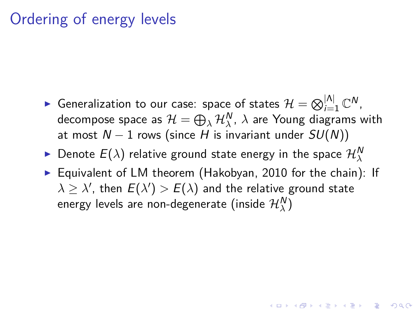# Ordering of energy levels

- ► Generalization to our case: space of states  $\mathcal{H} = \bigotimes_{i=1}^{|\Lambda|} \mathbb{C}^N$ , decompose space as  $\mathcal{H}=\bigoplus_{\lambda}\mathcal{H}_{\lambda}^{\textsf{N}},\ \lambda$  are Young diagrams with at most  $N - 1$  rows (since H is invariant under  $SU(N)$ )
- $\blacktriangleright$  Denote  $E(\lambda)$  relative ground state energy in the space  $\mathcal{H}^{N}_{\lambda}$
- $\triangleright$  Equivalent of LM theorem (Hakobyan, 2010 for the chain): If  $\lambda \geq \lambda'$ , then  $E(\lambda') > E(\lambda)$  and the relative ground state energy levels are non-degenerate (inside  $\mathcal{H}_\lambda^\mathsf{N} )$

**KOD KOD KED KED E VOOR**